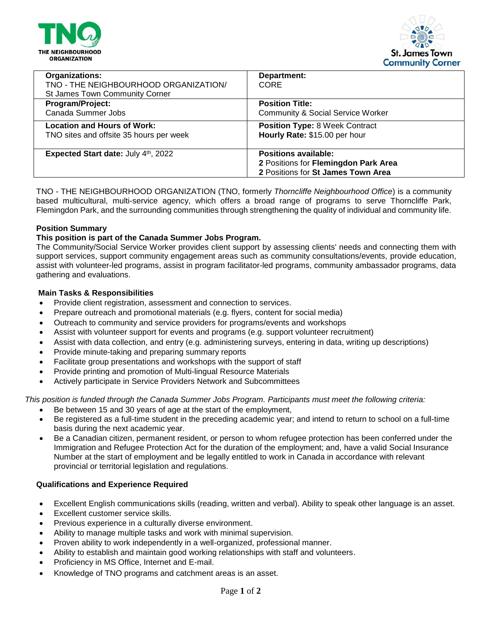



| Organizations:<br>TNO - THE NEIGHBOURHOOD ORGANIZATION/<br>St James Town Community Corner | Department:<br><b>CORE</b>                                                                                |
|-------------------------------------------------------------------------------------------|-----------------------------------------------------------------------------------------------------------|
| Program/Project:                                                                          | <b>Position Title:</b>                                                                                    |
| Canada Summer Jobs                                                                        | <b>Community &amp; Social Service Worker</b>                                                              |
| <b>Location and Hours of Work:</b>                                                        | <b>Position Type: 8 Week Contract</b>                                                                     |
| TNO sites and offsite 35 hours per week                                                   | Hourly Rate: \$15.00 per hour                                                                             |
| Expected Start date: July 4th, 2022                                                       | <b>Positions available:</b><br>2 Positions for Flemingdon Park Area<br>2 Positions for St James Town Area |

TNO - THE NEIGHBOURHOOD ORGANIZATION (TNO, formerly *Thorncliffe Neighbourhood Office*) is a community based multicultural, multi-service agency, which offers a broad range of programs to serve Thorncliffe Park, Flemingdon Park, and the surrounding communities through strengthening the quality of individual and community life.

### **Position Summary**

### **This position is part of the Canada Summer Jobs Program.**

The Community/Social Service Worker provides client support by assessing clients' needs and connecting them with support services, support community engagement areas such as community consultations/events, provide education, assist with volunteer-led programs, assist in program facilitator-led programs, community ambassador programs, data gathering and evaluations.

#### **Main Tasks & Responsibilities**

- Provide client registration, assessment and connection to services.
- Prepare outreach and promotional materials (e.g. flyers, content for social media)
- Outreach to community and service providers for programs/events and workshops
- Assist with volunteer support for events and programs (e.g. support volunteer recruitment)
- Assist with data collection, and entry (e.g. administering surveys, entering in data, writing up descriptions)
- Provide minute-taking and preparing summary reports
- Facilitate group presentations and workshops with the support of staff
- Provide printing and promotion of Multi-lingual Resource Materials
- Actively participate in Service Providers Network and Subcommittees

*This position is funded through the Canada Summer Jobs Program. Participants must meet the following criteria:*

- Be between 15 and 30 years of age at the start of the employment,
- Be registered as a full-time student in the preceding academic year; and intend to return to school on a full-time basis during the next academic year.
- Be a Canadian citizen, permanent resident, or person to whom refugee protection has been conferred under the Immigration and Refugee Protection Act for the duration of the employment; and, have a valid Social Insurance Number at the start of employment and be legally entitled to work in Canada in accordance with relevant provincial or territorial legislation and regulations.

### **Qualifications and Experience Required**

- Excellent English communications skills (reading, written and verbal). Ability to speak other language is an asset.
- Excellent customer service skills.
- Previous experience in a culturally diverse environment.
- Ability to manage multiple tasks and work with minimal supervision.
- Proven ability to work independently in a well-organized, professional manner.
- Ability to establish and maintain good working relationships with staff and volunteers.
- Proficiency in MS Office, Internet and E-mail.
- Knowledge of TNO programs and catchment areas is an asset.